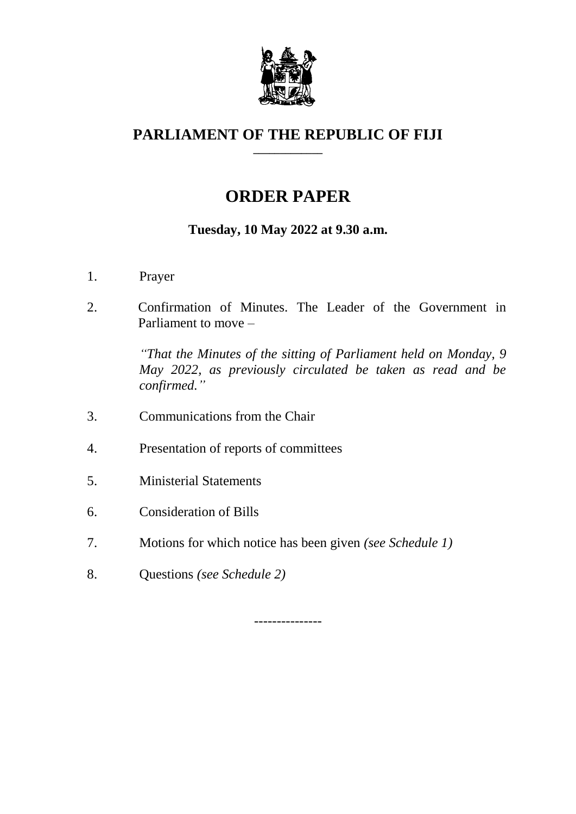

#### **PARLIAMENT OF THE REPUBLIC OF FIJI \_\_\_\_\_\_\_\_\_\_\_\_\_**

# **ORDER PAPER**

# **Tuesday, 10 May 2022 at 9.30 a.m.**

- 1. Prayer
- 2. Confirmation of Minutes. The Leader of the Government in Parliament to move –

*"That the Minutes of the sitting of Parliament held on Monday, 9 May 2022, as previously circulated be taken as read and be confirmed."*

- 3. Communications from the Chair
- 4. Presentation of reports of committees
- 5. Ministerial Statements
- 6. Consideration of Bills
- 7. Motions for which notice has been given *(see Schedule 1)*
- 8. Questions *(see Schedule 2)*

---------------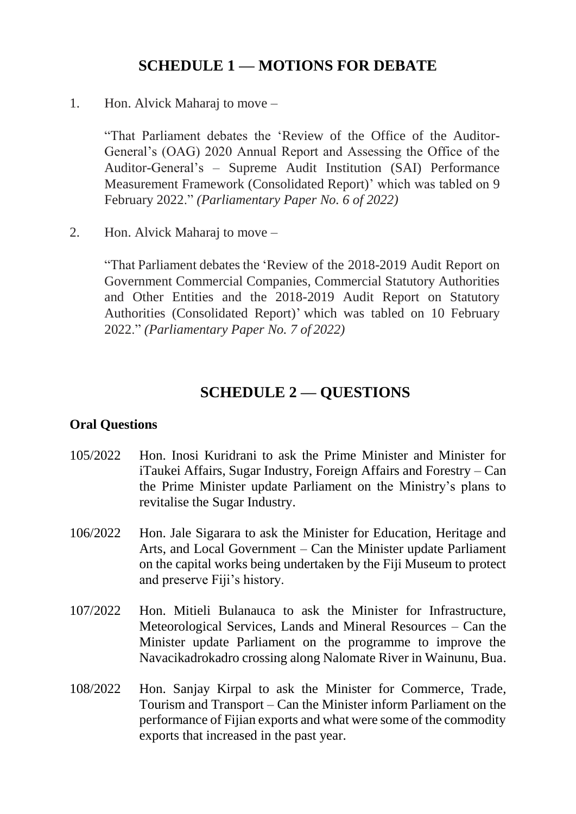## **SCHEDULE 1 — MOTIONS FOR DEBATE**

1. Hon. Alvick Maharaj to move –

"That Parliament debates the 'Review of the Office of the Auditor-General's (OAG) 2020 Annual Report and Assessing the Office of the Auditor-General's – Supreme Audit Institution (SAI) Performance Measurement Framework (Consolidated Report)' which was tabled on 9 February 2022." *(Parliamentary Paper No. 6 of 2022)*

2. Hon. Alvick Maharaj to move –

"That Parliament debates the 'Review of the 2018-2019 Audit Report on Government Commercial Companies, Commercial Statutory Authorities and Other Entities and the 2018-2019 Audit Report on Statutory Authorities (Consolidated Report)' which was tabled on 10 February 2022." *(Parliamentary Paper No. 7 of 2022)*

### **SCHEDULE 2 — QUESTIONS**

#### **Oral Questions**

- 105/2022 Hon. Inosi Kuridrani to ask the Prime Minister and Minister for iTaukei Affairs, Sugar Industry, Foreign Affairs and Forestry – Can the Prime Minister update Parliament on the Ministry's plans to revitalise the Sugar Industry.
- 106/2022 Hon. Jale Sigarara to ask the Minister for Education, Heritage and Arts, and Local Government – Can the Minister update Parliament on the capital works being undertaken by the Fiji Museum to protect and preserve Fiji's history.
- 107/2022 Hon. Mitieli Bulanauca to ask the Minister for Infrastructure, Meteorological Services, Lands and Mineral Resources – Can the Minister update Parliament on the programme to improve the Navacikadrokadro crossing along Nalomate River in Wainunu, Bua.
- 108/2022 Hon. Sanjay Kirpal to ask the Minister for Commerce, Trade, Tourism and Transport – Can the Minister inform Parliament on the performance of Fijian exports and what were some of the commodity exports that increased in the past year.